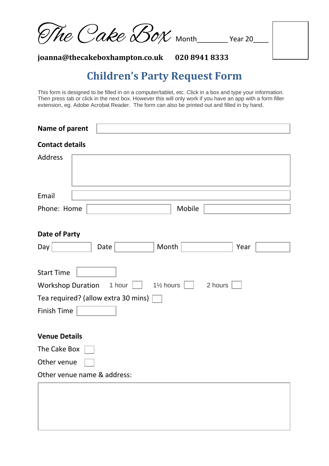| The Cake Box Month Year 20 |  |
|----------------------------|--|
|                            |  |

**joanna@thecakeboxhampton.co.uk 020 8941 8333** 

## **Children's Party Request Form**

This form is designed to be filled in on a computer/tablet, etc. Click in a box and type your information. Then press tab or click in the next box. However this will only work if you have an app with a form filler extension, eg. Adobe Acrobat Reader. The form can also be printed out and filled in by hand.

| Name of parent                                |                                                          |
|-----------------------------------------------|----------------------------------------------------------|
| <b>Contact details</b>                        |                                                          |
| <b>Address</b>                                |                                                          |
| Email                                         |                                                          |
| Phone: Home                                   | Mobile                                                   |
| Date of Party<br>Day                          | Month<br>Date<br>Year                                    |
| <b>Start Time</b><br><b>Workshop Duration</b> | 1 hour<br>1 <sup>1</sup> / <sub>2</sub> hours<br>2 hours |
| Tea required? (allow extra 30 mins)           |                                                          |
| Finish Time                                   |                                                          |
| <b>Venue Details</b>                          |                                                          |
| The Cake Box                                  |                                                          |
| Other venue                                   |                                                          |
| Other venue name & address:                   |                                                          |
|                                               |                                                          |
|                                               |                                                          |
|                                               |                                                          |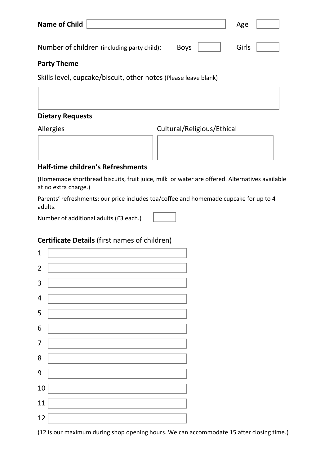| <b>Name of Child</b>                                            | Age   |
|-----------------------------------------------------------------|-------|
| Number of children (including party child):<br><b>Boys</b>      | Girls |
| <b>Party Theme</b>                                              |       |
| Skills level, cupcake/biscuit, other notes (Please leave blank) |       |

**Dietary Requests**

Allergies Cultural/Religious/Ethical

| <b>Half-time children's Refreshments</b> |  |
|------------------------------------------|--|

(Homemade shortbread biscuits, fruit juice, milk or water are offered. Alternatives available at no extra charge.)

Parents' refreshments: our price includes tea/coffee and homemade cupcake for up to 4 adults.

Number of additional adults (£3 each.)

| $\mathbf{1}$            |  |
|-------------------------|--|
| $\overline{2}$          |  |
| 3                       |  |
| $\overline{\mathbf{4}}$ |  |
| 5                       |  |
| $\overline{6}$          |  |
| $\overline{7}$          |  |
| 8                       |  |
| 9                       |  |
| 10                      |  |
| 11                      |  |
| 12                      |  |

(12 is our maximum during shop opening hours. We can accommodate 15 after closing time.)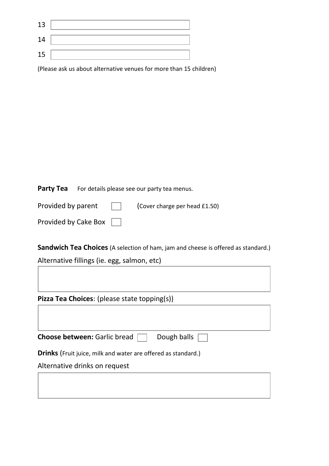| 13 |  |
|----|--|
| 14 |  |
| 15 |  |

(Please ask us about alternative venues for more than 15 children)

Party Tea For details please see our party tea menus.

| Provided by parent   | $\mathbf{1}$ | (Cover charge per head £1.50) |
|----------------------|--------------|-------------------------------|
| Provided by Cake Box |              |                               |

**Sandwich Tea Choices** (A selection of ham, jam and cheese is offered as standard.)

Alternative fillings (ie. egg, salmon, etc)

Г

| <b>Pizza Tea Choices:</b> (please state topping(s))                  |  |
|----------------------------------------------------------------------|--|
|                                                                      |  |
| <b>Choose between: Garlic bread</b><br>Dough balls                   |  |
| <b>Drinks</b> (Fruit juice, milk and water are offered as standard.) |  |
| Alternative drinks on request                                        |  |